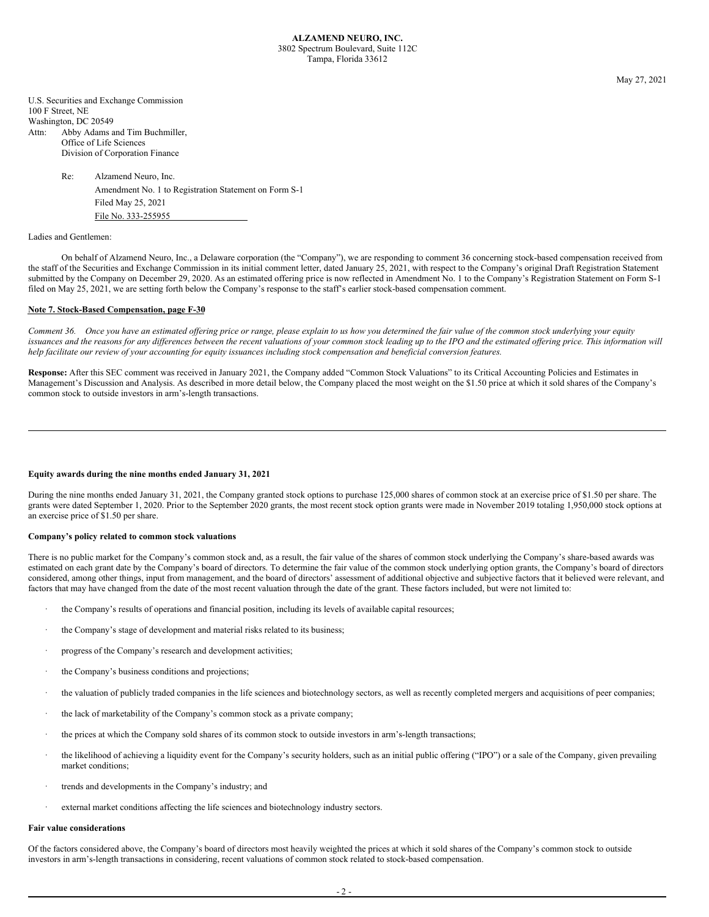May 27, 2021

U.S. Securities and Exchange Commission 100 F Street, NE Washington, DC 20549 Attn: Abby Adams and Tim Buchmiller, Office of Life Sciences Division of Corporation Finance

> Re: Alzamend Neuro, Inc. Amendment No. 1 to Registration Statement on Form S-1 Filed May 25, 2021 File No. 333-255955

# Ladies and Gentlemen:

On behalf of Alzamend Neuro, Inc., a Delaware corporation (the "Company"), we are responding to comment 36 concerning stock-based compensation received from the staff of the Securities and Exchange Commission in its initial comment letter, dated January 25, 2021, with respect to the Company's original Draft Registration Statement submitted by the Company on December 29, 2020. As an estimated offering price is now reflected in Amendment No. 1 to the Company's Registration Statement on Form S-1 filed on May 25, 2021, we are setting forth below the Company's response to the staff's earlier stock-based compensation comment.

# **Note 7. Stock-Based Compensation, page F-30**

Comment 36. Once you have an estimated offering price or range, please explain to us how you determined the fair value of the common stock underlying your equity issuances and the reasons for any differences between the recent valuations of your common stock leading up to the IPO and the estimated offering price. This information will help facilitate our review of your accounting for equity issuances including stock compensation and beneficial conversion features.

**Response:** After this SEC comment was received in January 2021, the Company added "Common Stock Valuations" to its Critical Accounting Policies and Estimates in Management's Discussion and Analysis. As described in more detail below, the Company placed the most weight on the \$1.50 price at which it sold shares of the Company's common stock to outside investors in arm's-length transactions.

#### **Equity awards during the nine months ended January 31, 2021**

During the nine months ended January 31, 2021, the Company granted stock options to purchase 125,000 shares of common stock at an exercise price of \$1.50 per share. The grants were dated September 1, 2020. Prior to the September 2020 grants, the most recent stock option grants were made in November 2019 totaling 1,950,000 stock options at an exercise price of \$1.50 per share.

# **Company's policy related to common stock valuations**

There is no public market for the Company's common stock and, as a result, the fair value of the shares of common stock underlying the Company's share-based awards was estimated on each grant date by the Company's board of directors. To determine the fair value of the common stock underlying option grants, the Company's board of directors considered, among other things, input from management, and the board of directors' assessment of additional objective and subjective factors that it believed were relevant, and factors that may have changed from the date of the most recent valuation through the date of the grant. These factors included, but were not limited to:

- the Company's results of operations and financial position, including its levels of available capital resources;
- the Company's stage of development and material risks related to its business;
- progress of the Company's research and development activities;
- the Company's business conditions and projections;
- the valuation of publicly traded companies in the life sciences and biotechnology sectors, as well as recently completed mergers and acquisitions of peer companies;
- the lack of marketability of the Company's common stock as a private company;
- · the prices at which the Company sold shares of its common stock to outside investors in arm's-length transactions;
- the likelihood of achieving a liquidity event for the Company's security holders, such as an initial public offering ("IPO") or a sale of the Company, given prevailing market conditions;
- trends and developments in the Company's industry; and
- external market conditions affecting the life sciences and biotechnology industry sectors.

#### **Fair value considerations**

Of the factors considered above, the Company's board of directors most heavily weighted the prices at which it sold shares of the Company's common stock to outside investors in arm's-length transactions in considering, recent valuations of common stock related to stock-based compensation.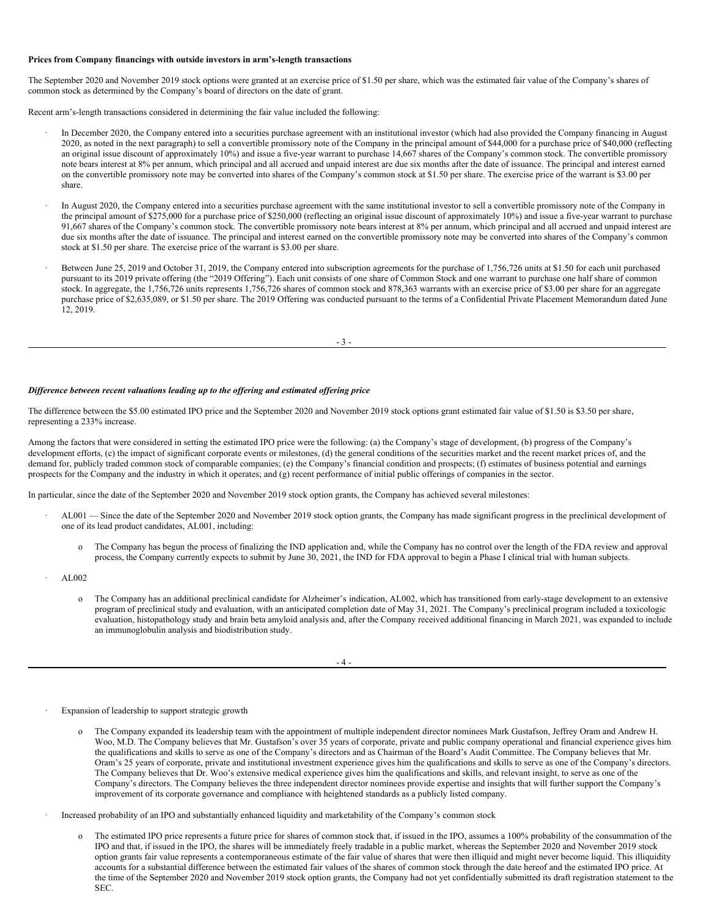#### **Prices from Company financings with outside investors in arm's-length transactions**

The September 2020 and November 2019 stock options were granted at an exercise price of \$1.50 per share, which was the estimated fair value of the Company's shares of common stock as determined by the Company's board of directors on the date of grant.

Recent arm's-length transactions considered in determining the fair value included the following:

- In December 2020, the Company entered into a securities purchase agreement with an institutional investor (which had also provided the Company financing in August 2020, as noted in the next paragraph) to sell a convertible promissory note of the Company in the principal amount of \$44,000 for a purchase price of \$40,000 (reflecting an original issue discount of approximately 10%) and issue a five-year warrant to purchase 14,667 shares of the Company's common stock. The convertible promissory note bears interest at 8% per annum, which principal and all accrued and unpaid interest are due six months after the date of issuance. The principal and interest earned on the convertible promissory note may be converted into shares of the Company's common stock at \$1.50 per share. The exercise price of the warrant is \$3.00 per share.
- In August 2020, the Company entered into a securities purchase agreement with the same institutional investor to sell a convertible promissory note of the Company in the principal amount of \$275,000 for a purchase price of \$250,000 (reflecting an original issue discount of approximately 10%) and issue a five-year warrant to purchase 91,667 shares of the Company's common stock. The convertible promissory note bears interest at 8% per annum, which principal and all accrued and unpaid interest are due six months after the date of issuance. The principal and interest earned on the convertible promissory note may be converted into shares of the Company's common stock at \$1.50 per share. The exercise price of the warrant is \$3.00 per share.
- Between June 25, 2019 and October 31, 2019, the Company entered into subscription agreements for the purchase of 1,756,726 units at \$1.50 for each unit purchased pursuant to its 2019 private offering (the "2019 Offering"). Each unit consists of one share of Common Stock and one warrant to purchase one half share of common stock. In aggregate, the 1,756,726 units represents 1,756,726 shares of common stock and 878,363 warrants with an exercise price of \$3.00 per share for an aggregate purchase price of \$2,635,089, or \$1.50 per share. The 2019 Offering was conducted pursuant to the terms of a Confidential Private Placement Memorandum dated June 12, 2019.

 $-3$ .

## *Dif erence between recent valuations leading up to the of ering and estimated of ering price*

The difference between the \$5.00 estimated IPO price and the September 2020 and November 2019 stock options grant estimated fair value of \$1.50 is \$3.50 per share, representing a 233% increase.

Among the factors that were considered in setting the estimated IPO price were the following: (a) the Company's stage of development, (b) progress of the Company's development efforts, (c) the impact of significant corporate events or milestones, (d) the general conditions of the securities market and the recent market prices of, and the demand for, publicly traded common stock of comparable companies; (e) the Company's financial condition and prospects; (f) estimates of business potential and earnings prospects for the Company and the industry in which it operates; and (g) recent performance of initial public offerings of companies in the sector.

In particular, since the date of the September 2020 and November 2019 stock option grants, the Company has achieved several milestones:

- · AL001 Since the date of the September 2020 and November 2019 stock option grants, the Company has made significant progress in the preclinical development of one of its lead product candidates, AL001, including:
	- The Company has begun the process of finalizing the IND application and, while the Company has no control over the length of the FDA review and approval process, the Company currently expects to submit by June 30, 2021, the IND for FDA approval to begin a Phase I clinical trial with human subjects.
- · AL002
	- o The Company has an additional preclinical candidate for Alzheimer's indication, AL002, which has transitioned from early-stage development to an extensive program of preclinical study and evaluation, with an anticipated completion date of May 31, 2021. The Company's preclinical program included a toxicologic evaluation, histopathology study and brain beta amyloid analysis and, after the Company received additional financing in March 2021, was expanded to include an immunoglobulin analysis and biodistribution study.

| _ |
|---|
|---|

Expansion of leadership to support strategic growth

- o The Company expanded its leadership team with the appointment of multiple independent director nominees Mark Gustafson, Jeffrey Oram and Andrew H. Woo, M.D. The Company believes that Mr. Gustafson's over 35 years of corporate, private and public company operational and financial experience gives him the qualifications and skills to serve as one of the Company's directors and as Chairman of the Board's Audit Committee. The Company believes that Mr. Oram's 25 years of corporate, private and institutional investment experience gives him the qualifications and skills to serve as one of the Company's directors. The Company believes that Dr. Woo's extensive medical experience gives him the qualifications and skills, and relevant insight, to serve as one of the Company's directors. The Company believes the three independent director nominees provide expertise and insights that will further support the Company's improvement of its corporate governance and compliance with heightened standards as a publicly listed company.
- Increased probability of an IPO and substantially enhanced liquidity and marketability of the Company's common stock
	- o The estimated IPO price represents a future price for shares of common stock that, if issued in the IPO, assumes a 100% probability of the consummation of the IPO and that, if issued in the IPO, the shares will be immediately freely tradable in a public market, whereas the September 2020 and November 2019 stock option grants fair value represents a contemporaneous estimate of the fair value of shares that were then illiquid and might never become liquid. This illiquidity accounts for a substantial difference between the estimated fair values of the shares of common stock through the date hereof and the estimated IPO price. At the time of the September 2020 and November 2019 stock option grants, the Company had not yet confidentially submitted its draft registration statement to the SEC.